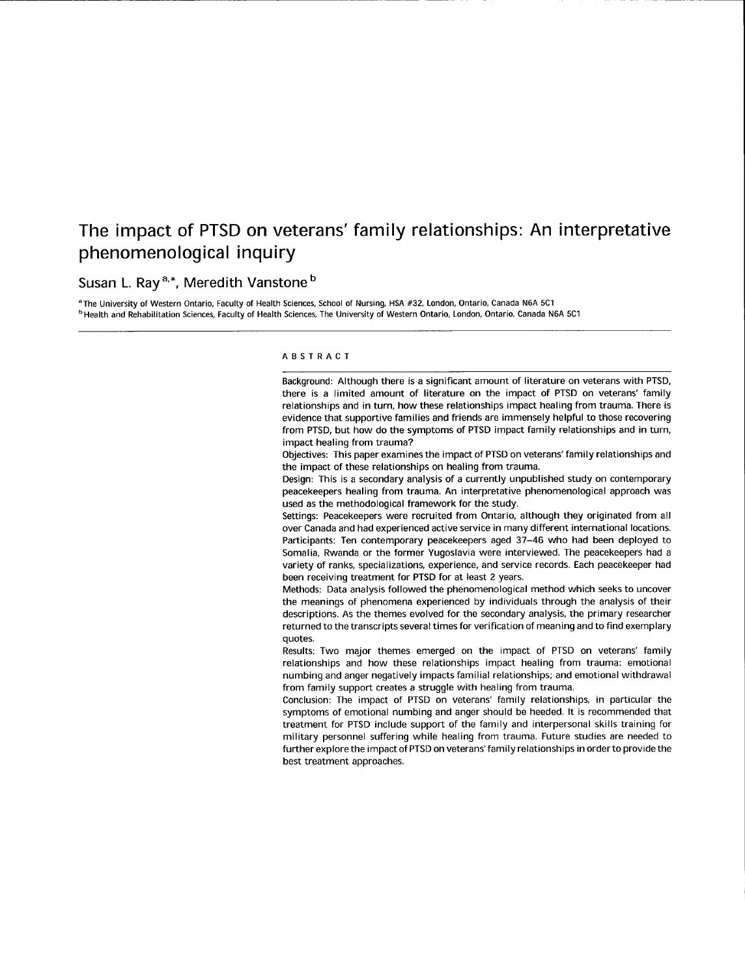# The impact of PTSD on veterans' family relationships: An interpretative phenomenological inquiry

## Susan L. Ray<sup>a,\*</sup>, Meredith Vanstone<sup>b</sup>

<sup>a</sup> The University of Western Ontario, Faculty of Health Sciences, School of Nursing, HSA #32, London, Ontario, Canada N6A 5C1 <sup>b</sup> Health and Rehabilitation Sciences, Faculty of Health Sciences, The University of Western Ontario, London, Ontario, Canada N6A 5C1

#### ABSTRACT

Background: Although there is a significant amount of literature on veterans with PTSD, there is a limited amount of literature on the impact of PTSD on veterans' family relationships and in turn, how these relationships impact healing from trauma. There is evidence that supportive families and friends are immensely helpful to those recovering from PTSD, but how do the symptoms of PTSD impact family relationships and in turn, impact healing from trauma?

Objectives: This paper examines the impact of PTSD on veterans' family relationships and the impact of these relationships on healing from trauma.

Design: This is a secondary analysis of a currently unpublished study on contemporary peacekeepers healing from trauma. An interpretative phenomenological approach was used as the methodological framework for the study.

Settings: Peacekeepers were recruited from Ontario, although they originated from all over Canada and had experienced active service in many different international locations. Participants: Ten contemporary peacekeepers aged 37-46 who had been deployed to Somalia, Rwanda or the former Yugoslavia were interviewed. The peacekeepers had <sup>a</sup> variety of ranks, specializations, experience, and service records. Each peacekeeper had been receiving treatment for PTSD for at least 2 years.

Methods: Data analysis followed the phenomenological method which seeks to uncover the meanings of phenomena experienced by individuals through the analysis of their descriptions. As the themes evolved for the secondary analysis, the primary researcher returned to the transcripts several times for verification of meaning and to flnd exemplary ouotes.

Results: Two major themes emerged on the impact of PTSD on veterans' family relationships and how these relationships impact healing from trauma: emotional numbing and anger negatively impacts familial relationships; and emotional withdrawal from family support creates a struggle with healing from trauma.

Conclusion: The impact of PTSD on veterans'family relationships, in particular the symptoms of emotional numbing and anger should be heeded. lt is recommended that treatment for PTSD include support of the family and interpersonal skills training for military personnel suffering while healing from trauma. Future studies are needed to further explore the impact of PTSD on veterans'family relationships in order to provide the best treatment approaches.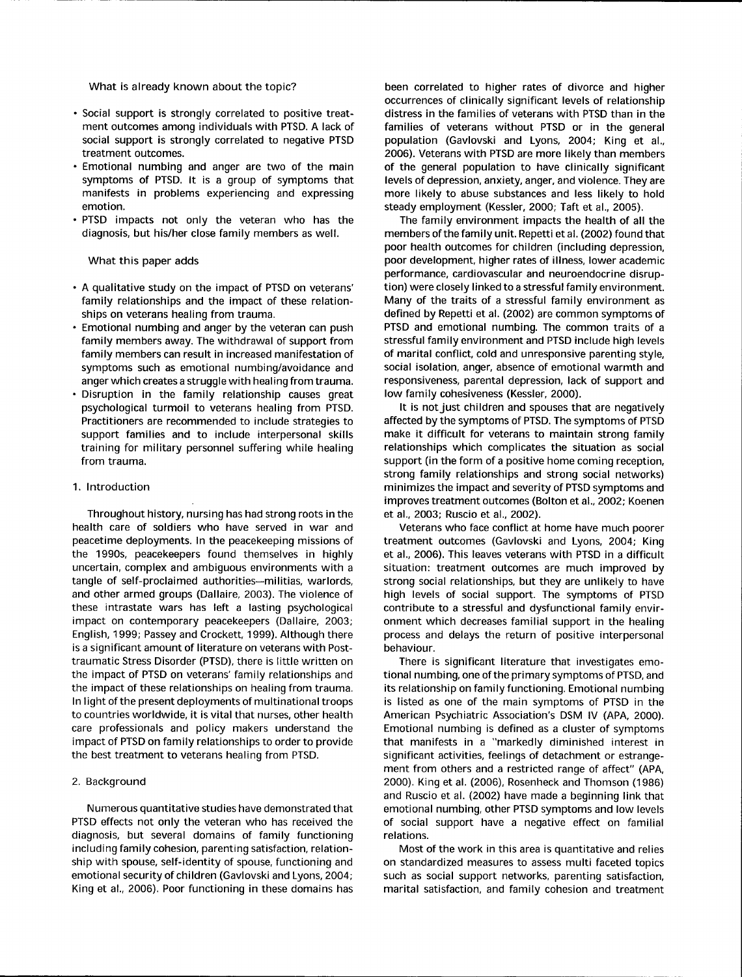What is already known about the topic?

- . Social support is strongly correlated to positive treatment outcomes among individuals with PTSD. A lack of social support is strongly correlated to negative PTSD treatment outcomes.
- . Emotional numbing and anger are two of the main symptoms of PTSD. lt is a group of symptoms that manifests in problems experiencing and expressing emotion.
- . PTSD impacts not only the veteran who has the diagnosis, but his/her close family members as well.

What this paper adds

- . A qualitative study on the impact of PTSD on veterans' family relationships and the impact of these relationships on veterans healing from trauma.
- . Emotional numbing and anger by the veteran can push family members away. The withdrawal of support from family members can result in increased manifestation of symptoms such as emotional numbing/avoidance and anger which creates a struggle with healing from trauma.
- . Disruption in the family relationship causes great psychological turmoil to veterans healing from PTSD. Practitioners are recommended to include strategies to support families and to include interpersonal skills training for military personnel suffering while healing from trauma.

## 1. lntroduction

Throughout history, nursing has had strong roots in the health care of soldiers who have served in war and peacetime deployments. In the peacekeeping missions of the 1990s. peacekeepers found themselves in highly uncertain, complex and ambiguous environments with <sup>a</sup> tangle of self-proclaimed authorities-militias, warlords, and other armed groups (Dallaire, 2003). The violence of these intrastate wars has left a lasting psychological impact on contemporary peacekeepers (Dallaire, 2003; English, 1999; Passey and Crockett, 1999). Although there is a significant amount of literature on veterans with Posttraumatic Stress Disorder (PTSD), there is little written on the impact of PTSD on veterans' family relationships and the impact of these relationships on healing from trauma. In light of the present deployments of multinational troops to countries worldwide, it is vital that nurses, other health care professionals and policy makers understand the impact of PTSD on family relationships to order to provide the best treatment to veterans healing from PTSD.

#### 2. Background

Numerous quantitative studies have demonstrated that PTSD effects not only the veteran who has received the diagnosis, but several domains of family functioning including family cohesion, parenting satisfaction, relationship with spouse, self-identity of spouse, functioning and emotional security of children (Gavlovski and Lyons, 2004; King et al., 2006). Poor functioning in these domains has

been correlated to higher rates of divorce and higher occurrences of clinically significant levels of relationship distress in the families of veterans with PTSD than in the families of veterans without PTSD or in the general population (Gavlovski and Lyons, 2004; King et al., 2006). Veterans with PTSD are more likely than members of the general population to have clinically significant levels of depression, anxiety, anger, and violence. They are more likely to abuse substances and less likely to hold steady employment (Kessler, 2000; Taft et al., 2005).

The family environment impacts the health of all the members of the family unit. Repetti et al. (2002) found that poor health outcomes for children (including depression, poor development, higher rates of illness, lower academic performance, cardiovascular and neuroendocrine disruption) were closely linked to a stressful family environment. Many of the traits of a stressful family environment as defined by Repetti et al. (2002) are common symptoms of PTSD and emotional numbing. The common traits of <sup>a</sup> stressful family environment and PTSD include high levels of marital conflict, cold and unresponsive parenting style, social isolation, anger, absence of emotional warmth and responsiveness, parental depression, lack of support and low family cohesiveness (Kessler, 2000).

It is not just children and spouses that are negatively affected by the symptoms of PTSD. The symptoms of PTSD make it difficult for veterans to maintain strong family relationships which complicates the situation as social support (in the form of a positive home coming reception, strong family relationships and strong social networks) minimizes the impact and severity of PTSD symptoms and improves treatment outcomes (Bolton et al., 2OO2: Koenen et al., 2003; Ruscio et al.,2OO2).

Veterans who face conflict at home have much poorer treatment outcomes (Gavlovski and Lyons, 2004; King et al., 2006). This leaves veterans with PTSD in a difficult situation: treatment outcomes are much improved by strong social relationships, but they are unlikely to have high levels of social support. The symptoms of PTSD contribute to a stressful and dysfunctional family environment which decreases familial support in the healing process and delays the return of positive interpersonal behaviour.

There is significant literature that investigates emotional numbing, one of the primary symptoms of PTSD, and its relationship on family functioning. Emotional numbing is listed as one of the main symptoms of PTSD in the American Psychiatric Association's DSM lV (APA, 2000). Emotional numbing is defined as a cluster of symptoms that manifests in a "markedly diminished interest in significant activities, feelings of detachment or estrangement from others and a restricted range of affect" (APA, 2000). King et al. (2006), Rosenheck and Thomson (1986) and Ruscio et al. (2002) have made a beginning link that emotional numbing, other PTSD symptoms and low levels of social support have a negative effect on familial relations.

Most of the work in this area is quantitative and relies on standardized measures to assess multi faceted topics such as social support networks, parenting satisfaction, marital satisfaction, and family cohesion and treatment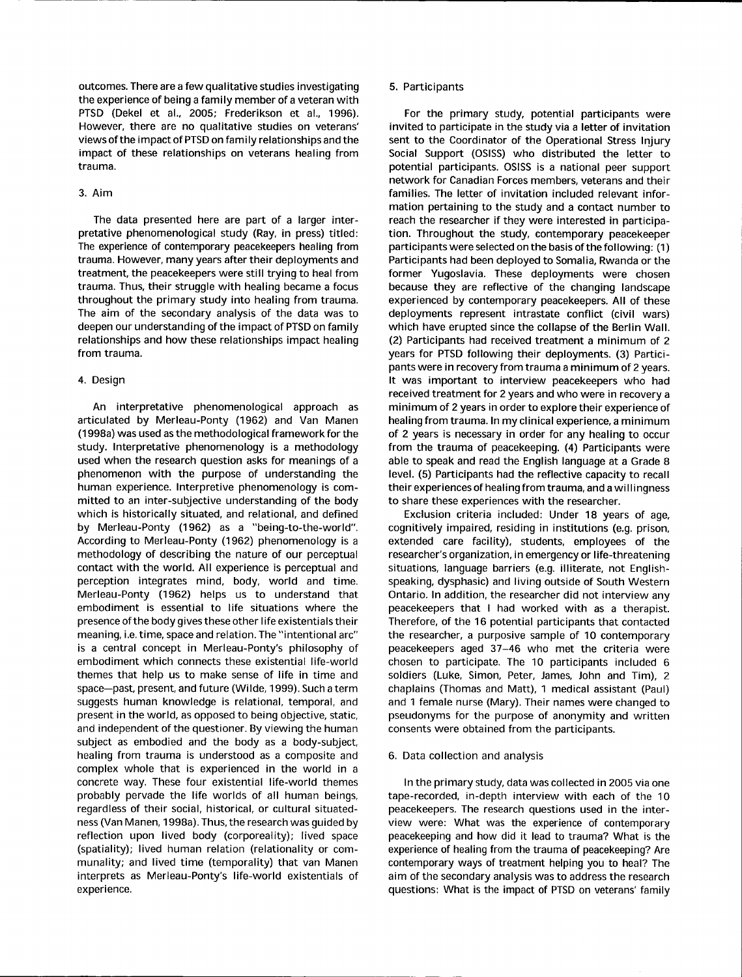outcomes. There are a few qualitative studies investigating the experience of being a family member of a veteran with PTSD (Dekel et al., 2005; Frederikson et al., 1996). However, there are no qualitative studies on veterans' views of the impact of PTSD on family relationships and the impact of these relationships on veterans healing from trauma.

## 3. Aim

The data presented here are part of a larger interpretative phenomenological study (Ray, in press) titled: The experience of contemporary peacekeepers healing from trauma. However, many years after their deployments and treatment, the peacekeepers were still trying to heal from trauma. Thus, their struggle with healing became a focus throughout the primary study into healing from trauma. The aim of the secondary analysis of the data was to deepen our understanding of the impact of PTSD on family relationships and how these relationships impact healing from trauma.

### 4. Design

An interpretative phenomenological approach as articulated by Merleau-Ponty (1962) and Van Manen (1998a) was used as the methodological framework for the study. Interpretative phenomenology is a methodology used when the research question asks for meanings of a phenomenon with the purpose of understanding the human experience. Interpretive phenomenology is committed to an inter-subjective understanding of the body which is historically situated, and relational, and defined by Merleau-Ponty (1962) as a "being-to-the-world". According to Merleau-Ponty (1962) phenomenology is <sup>a</sup> methodology of describing the nature of our perceptual contact with the world. All experience is perceptual and perception integrates mind, body, world and time. Merleau-Ponty (1962) helps us to understand that embodiment is essential to life situations where the presence of the body gives these other life existentials their meaning, i.e. time, space and relation. The "intentional arc" is a central concept in Merleau-Ponty's philosophy of embodiment which connects these existential life-world themes that help us to make sense of life in time and space-past, present, and future (Wilde, 1999). Such a term suggests human knowledge is relational, temporal, and present in the world. as opposed to being objective, static, and independent of the questioner. By viewing the human subject as embodied and the body as a body-subject, healing from trauma is understood as a composite and complex whole that is experienced in the world in <sup>a</sup> concrete way. These four existential life-world themes probably pervade the life worlds of all human beings, regardless of their social, historical, or cultural situatedness (Van Manen, 1998a). Thus, the research was guided by reflection upon lived body (corporeality); lived space (spatiality); lived human relation (relationality or communality; and lived time (temporality) that van Manen interprets as Merleau-Ponty's life-world existentials of experience.

### 5. Participants

For the primary study, potential participants were invited to participate in the study via a letter of invitation sent to the Coordinator of the Operational Stress Injury Social Support (OSISS) who distributed the letter to potential participants. OSISS is a national peer support network for Canadian Forces members, veterans and their families. The letter of invitation included relevant information pertaining to the study and a contact number to reach the researcher if they were interested in participation. Throughout the study, contemporary peacekeeper participants were selected on the basis of the following: (1) Participants had been deployed to Somalia, Rwanda or the former Yugoslavia. These deployments were chosen because they are reflective of the changing landscape experienced by contemporary peacekeepers. All of these deployments represent intrastate conflict (civil wars) which have erupted since the collapse of the Berlin Wall. (2) Participants had received treatment a minimum of 2 years for PTSD following their deployments. (3) Participants were in recovery from trauma a minimum of 2 years. It was important to interview peacekeepers who had received treatment for 2 years and who were in recovery a minimum of 2 years in order to explore their experience of healing from trauma. In my clinical experience, a minimum of 2 years is necessary in order for any healing to occur from the trauma of peacekeeping. (a) Participants were able to speak and read the English language at a Grade 8 level. (5) Participants had the reflective capacity to recall their experiences of healing from trauma, and a willingness to share these experiences with the researcher.

Exclusion criteria included: Under 18 years of age, cognitively impaired, residing in institutions (e.9. prison, extended care facility), students, employees of the researcher's organization, in emergency or life-threatening situations, language barriers (e.9. illiterate, not Englishspeaking, dysphasic) and living outside of South Western Ontario. In addition, the researcher did not interview any peacekeepers that I had worked with as a therapist. Therefore, of the 16 potential participants that contacted the researcher, a purposive sample of 10 contemporary peacekeepers aged 37-46 who met the criteria were chosen to participate. The 10 participants included <sup>6</sup> soldiers (Luke, Simon, Peter, James, John and Tim), 2 chaplains (Thomas and Matt), 1 medical assistant (Paul) and 1 female nurse (Mary). Their names were changed to pseudonyms for the purpose of anonymity and written consents were obtained from the participants.

#### 6. Data collection and analysis

ln the primary study, data was collected in 2005 via one tape-recorded, in-depth interview with each of the 1O peacekeepers. The research questions used in the interview were: What was the experience of contemporary peacekeeping and how did it lead to trauma? What is the experience of healing from the trauma of peacekeeping? Are contemporary ways of treatment helping you to heal? The aim of the secondary analysis was to address the research questions: What is the impact of PTSD on veterans' family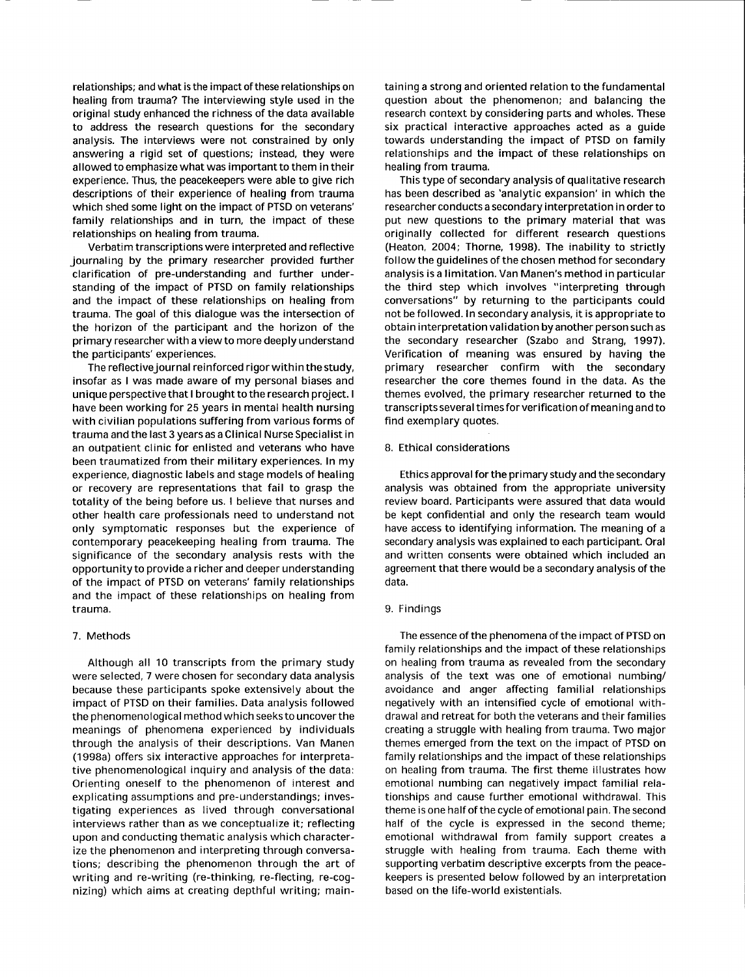relationships; and what is the impact of these relationships on healing from trauma? The interviewing style used in the original study enhanced the richness of the data available to address the research questions for the secondary analysis. The interviews were not constrained by only answering a rigid set of questions; instead, they were allowed to emphasize what was important to them in their experience. Thus, the peacekeepers were able to give rich descriptions of their experience of healing from trauma which shed some light on the impact of PTSD on veterans' family relationships and in turn, the impact of these relationships on healing from trauma.

Verbatim transcriptions were interpreted and reflective journaling by the primary researcher provided further clarification of pre-understanding and further understanding of the impact of PTSD on family relationships and the impact of these relationships on healing from trauma. The goal of this dialogue was the intersection of the horizon of the participant and the horizon of the primary researcher with a view to more deeply understand the participants' experiences.

The reflectivejournal reinforced rigor within the study, insofar as I was made aware of my personal biases and unique perspective that I brought to the research project. <sup>I</sup> have been working for 25 years in mental health nursing with civilian populations suffering from various forms of trauma and the last 3 years as a Clinical Nurse Specialist in an outpatient clinic for enlisted and veterans who have been traumatized from their military experiences. In my experience, diagnostic labels and stage models of healing or recovery are representations that fail to grasp the totality of the being before us. I believe that nurses and other health care professionals need to understand not only symptomatic responses but the experience of contemporary peacekeeping healing from trauma. The significance of the secondary analysis rests with the opportunity to provide a richer and deeper understanding of the impact of PTSD on veterans' family relationships and the impact of these relationships on healing from trauma.

#### 7. Methods

Although all 10 transcripts from the primary study were selected, 7 were chosen for secondary data analysis because these participants spoke extensively about the impact of PTSD on their families. Data analysis followed the phenomenological method which seeks to uncoverthe meanings of phenomena experienced by individuals through the analysis of their descriptions. Van Manen (1998a) offers six interactive approaches for interpretative phenomenological inquiry and analysis of the data: Orienting oneself to the phenomenon of interest and explicating assumptions and pre-understandings; investigating experiences as lived through conversational interviews rather than as we conceptualize it; reflecting upon and conducting thematic analysis which characterize the phenomenon and interpreting through conversations; describing the phenomenon through the art of writing and re-writing (re-thinking, re-flecting, re-cognizing) which aims at creating depthful writing; maintaining a strong and oriented relation to the fundamental question about the phenomenon; and balancing the research context by considering parts and wholes. These six practical interactive approaches acted as a guide towards understanding the impact of PTSD on family relationships and the impact of these relationships on healing from trauma.

This type of secondary analysis of qualitative research has been described as 'analytic expansion' in which the researcher conducts a secondary interpretation in order to put new questions to the primary material that was originally collected for different research questions (Heaton, 2004; Thorne, 1998). The inability to strictly followthe guidelines of the chosen method for secondary analysis is a limitation. Van Manen's method in particular the third step which involves "interpreting through conversations" by returning to the participants could not be followed. In secondary analysis, it is appropriate to obtain interpretation val idation by another person such as the secondary researcher (Szabo and Strang, 1997). Verification of meaning was ensured by having the primary researcher confirm with the secondary researcher the core themes found in the data. As the themes evolved, the primary researcher returned to the transcripts several times for verification of meaning and to find exemplary quotes.

#### B. Ethical considerations

Ethics approval for the primary study and the secondary analysis was obtained from the appropriate university review board. Participants were assured that data would be kept confidential and only the research team would have access to identifying information. The meaning of <sup>a</sup> secondary analysis was explained to each participant. Oral and written consents were obtained which included an agreement that there would be a secondary analysis of the data.

#### 9. Findings

The essence of the phenomena of the impact of PTSD on family relationships and the impact of these relationships on healing from trauma as revealed from the secondary analysis of the text was one of emotional numbing/ avoidance and anger affecting familial relationships negatively with an intensified cycle of emotional withdrawal and retreat for both the veterans and their families creating a struggle with healing from trauma. Two major themes emerged from the text on the impact of PTSD on family relationships and the impact of these relationships on healing from trauma. The first theme illustrates how emotional numbing can negatively impact familial relationships and cause further emotional withdrawal. This theme is one half of the cycle of emotional pain. The second half of the cycle is expressed in the second theme; emotional withdrawal from family support creates <sup>a</sup> struggle with healing from trauma. Each theme with supporting verbatim descriptive excerpts from the peacekeepers is presented below followed by an interpretation based on the life-world existentials.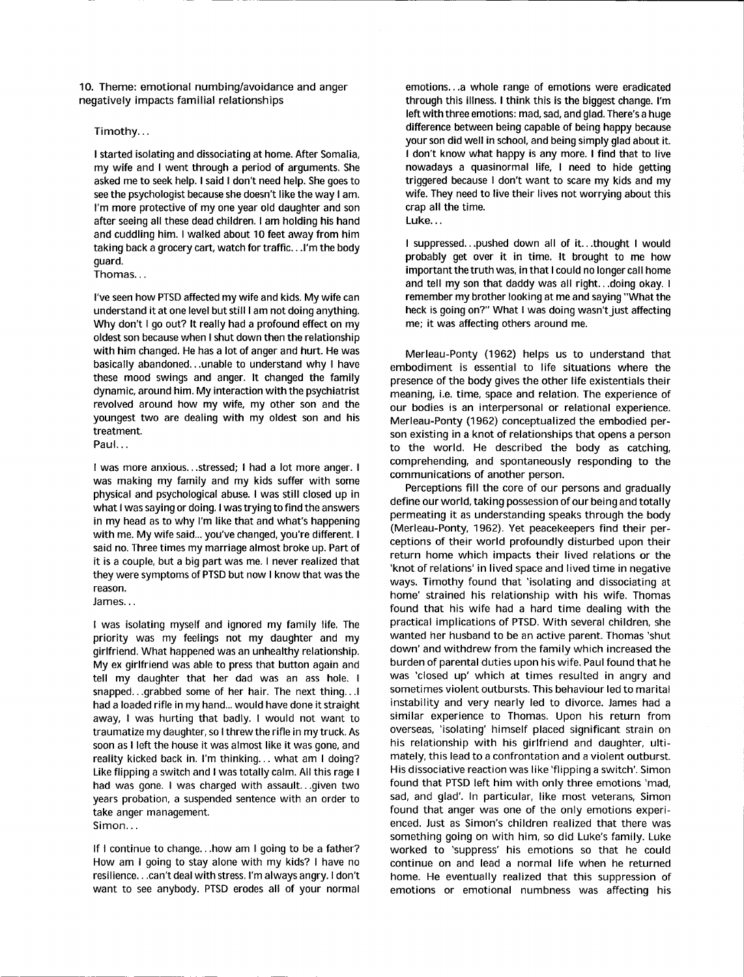10. Theme: emotional numbing/avoidance and anger negatively impacts familial relationships

### Timothy...

I started isolating and dissociating at home. After Somalia, my wife and I went through a period of arguments. She asked me to seek help. I said I don't need help. She goes to see the psychologist because she doesn't like the way I am. l'm more protective of my one year old daughter and son after seeing all these dead children. I am holding his hand and cuddling him. I walked about 10 feet away from him taking back a grocery cart, watch for traffic. . .l'm the body guard.

Thomas...

l've seen how PTSD affected my wife and kids. My wife can understand it at one level but still I am not doing anything. Why don't I go out? It really had a profound effect on my oldest son because when I shut down then the relationship with him changed. He has a lot of anger and hurt. He was basically abandoned.. .unable to understand why I have these mood swings and anger. lt changed the family dynamic, around him. My interaction with the psychiatrist revolved around how my wife, my other son and the youngest two are dealing with my oldest son and his treatment.

Paul...

I was more anxious...stressed; I had a lot more anger. <sup>I</sup> was making my family and my kids suffer with some physical and psychological abuse. I was still closed up in what I was saying or doing. I was trying to find the answers in my head as to why I'm like that and what's happening with me. My wife said... you've changed, you're different. <sup>I</sup> said no. Three times my marriage almost broke up. Part of it is a couple, but a big part was me. I never realized that they were symptoms of PTSD but now I know that was the reason.

James...

I was isolating myself and ignored my family life. The priority was my feelings not my daughter and my girlfriend. What happened was an unhealthy relationship. My ex girlfriend was able to press that button again and tell my daughter that her dad was an ass hole. <sup>I</sup> snapped...grabbed some of her hair. The next thing...l had a loaded rifle in my hand... would have done it straight away, I was hurting that badly. I would not want to traumatize my daughter, so I threw the rifle in my truck. As soon as I left the house it was almost like it was gone, and reality kicked back in. l'm thinking. . . what am I doing? Like flipping a switch and I was totally calm. All this rage <sup>I</sup> had was gone. I was charged with assault.. .given two years probation, a suspended sentence with an order to take anger management.

Simon...

lf I continue to change...how am I going to be a father? How am I going to stay alone with my kids? I have no resilience. . .can't dealwith stress. I'm always angry. I don't want to see anybody. PTSD erodes all of your normal emotions...a whole range of emotions were eradicated through this illness. I think this is the biggest change. l'm left with three emotions: mad, sad, and glad. There's a huge difference between being capable of being happy because your son did well in school, and being simply glad about it. I don't know what happy is any more. I find that to live nowadays a quasinormal life, I need to hide getting triggered because I don't want to scare my kids and my wife. They need to live their lives not worrying about this crap all the time. Luke...

I suppressed...pushed down all of it...thought I would probably get over it in time. lt brought to me how important the truth was, in that I could no longer call home and tell my son that daddy was all right.. .doing okay. <sup>I</sup> remember my brother looking at me and saying "What the heck is going on?" What I was doing wasn't just affecting me; it was affecting others around me.

Merleau-Ponty (1962) helps us to understand that embodiment is essential to life situations where the presence of the body gives the other life existentials their meaning, i.e. time, space and relation. The experience of our bodies is an interpersonal or relational experience. Merleau-Ponty (1962) conceptualized the embodied person existing in a knot of relationships that opens a person to the world. He described the body as catching, comprehending, and spontaneously responding to the communications of another person.

Perceptions fill the core of our persons and gradually define our world, taking possession of our being and totally permeating it as understanding speaks through the body (Merleau-Ponty, 1962). Yet peacekeepers find their perceptions of their world profoundly disturbed upon their return home which impacts their lived relations or the 'knot of relations' in lived space and lived time in negative ways. Timothy found that 'isolating and dissociating at home' strained his relationship with his wife. Thomas found that his wife had a hard time dealing with the practical implications of PTSD. With several children, she wanted her husband to be an active parent. Thomas 'shut down' and withdrew from the family which increased the burden of parental duties upon his wife. Paul found that he was 'closed up' which at times resulted in angry and sometimes violent outbursts. This behaviour led to marital instability and very nearly led to divorce. James had <sup>a</sup> similar experience to Thomas. Upon his return from overseas, 'isolating' himself placed significant strain on his relationship with his girlfriend and daughter, ultimately, this lead to a confrontation and a violent outburst. His dissociative reaction was like'flipping a switch'. Simon found that PTSD left him with only three emotions 'mad, sad, and glad'. In particular, like most veterans, Simon found that anger was one of the only emotions experienced. Just as Simon's children realized that there was something going on with him, so did Luke's family. Luke worked to 'suppress' his emotions so that he could continue on and lead a normal life when he returned home. He eventually realized that this suppression of emotions or emotional numbness was affecting his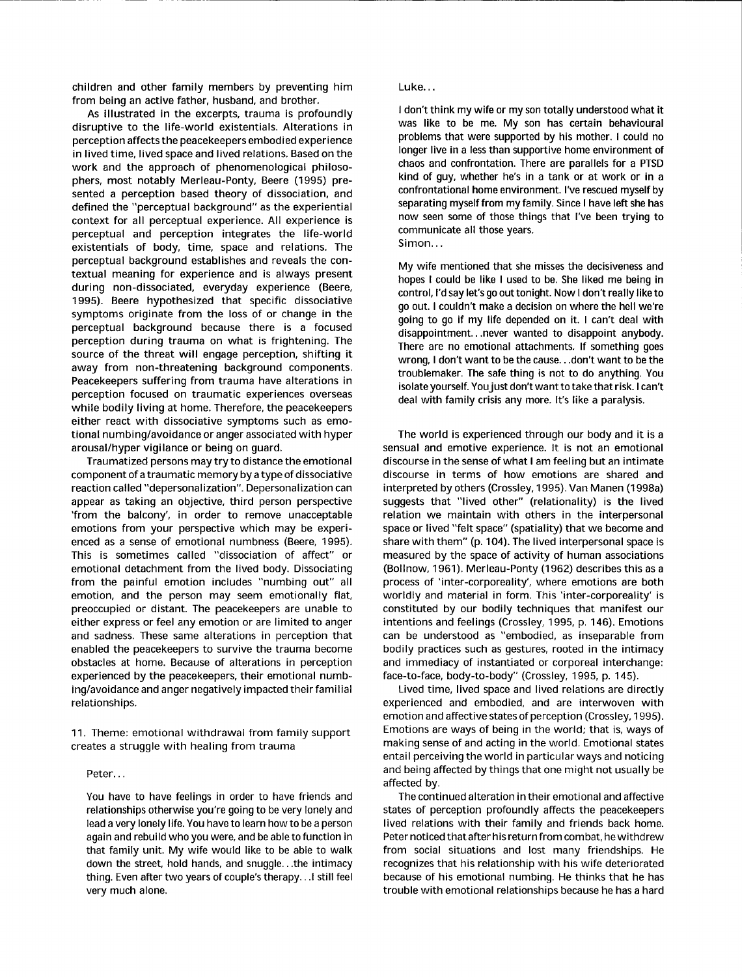children and other family members by preventing him from being an active father, husband, and brother.

As illustrated in the excerpts, trauma is profoundly disruptive to the life-world existentials. Alterations in perception affects the peacekeepers embodied experience in lived time, lived space and lived relations. Based on the work and the approach of phenomenological philosophers, most notably Merleau-Ponty, Beere (1995) presented a perception based theory of dissociation, and defined the "perceptual background" as the experiential context for all perceptual experience. All experience is perceptual and perception integrates the life-world existentials of body, time, space and relations. The perceptual background establishes and reveals the contextual meaning for experience and is always present during non-dissociated, everyday experience (Beere, 1995). Beere hypothesized that specific dissociative symptoms originate from the loss of or change in the perceptual background because there is a focused perception during trauma on what is frightening. The source of the threat will engage perception, shifting it away from non-threatening background components. Peacekeepers suffering from trauma have alterations in perception focused on traumatic experiences overseas while bodily living at home. Therefore, the peacekeepers either react with dissociative symptoms such as emotional numbing/avoidance or anger associated with hyper arousal/hyper vigilance or being on guard.

Traumatized persons may try to distance the emotional component of a traumatic memory by a typeof dissociative reaction called "depersonalization". Depersonalization can appear as taking an objective, third person perspective 'from the balcony', in order to remove unacceptable emotions from your perspective which may be experienced as a sense of emotional numbness (Beere, 1995). This is sometimes called "dissociation of affect" or emotional detachment from the lived body. Dissociating from the painful emotion includes "numbing out" all emotion, and the person may seem emotionally flat, preoccupied or distant. The peacekeepers are unable to either express or feel any emotion or are limited to anger and sadness. These same alterations in perception that enabled the peacekeepers to survive the trauma become obstacles at home. Because of alterations in perception experienced by the peacekeepers, their emotional numbing/avoidance and anger negatively impacted their familial relationships.

11. Theme: emotional withdrawal from family support creates a struggle with healing from trauma

## Peter.. .

You have to have feelings in order to have friends and relationships otherwise you're going to be very lonely and lead a very lonely life. You have to learn how to be a person again and rebuild who you were, and be able to function in that family unit. My wife would like to be able to walk down the street, hold hands, and snuggle. ..the intimacy thing. Even after two years of couple's therapy. . .l still feel very much alone.

## Luke...

I don't think my wife or my son totally understood what it was like to be me. My son has certain behavioural problems that were supported by his mother. I could no longer live in a less than supportive home environment of chaos and confrontation. There are parallels for a PTSD kind of guy, whether he's in a tank or at work or in a confrontational home environment. l've rescued myself by separating myself from my family. Since I have left she has now seen some of those things that I've been trying to communicate all those years. Simon...

My wife mentioned that she misses the decisiveness and hopes I could be like I used to be. She liked me being in control, I'd say let's go out tonight. Now I don't really like to go out. I couldn't make a decision on where the hell we're going to go if my life depended on it. I can't deal with disappointment.. .never wanted to disappoint anybody. There are no emotional attachments. lf something goes wrong, I don't want to be the cause. . .don't want to be the troublemaker. The safe thing is not to do anything. You isolate yourself. You just don't want to take that risk. I can't deal with family crisis any more. lt's like a paralysis.

The world is experienced through our body and it is <sup>a</sup> sensual and emotive experience. lt is not an emotional discourse in the sense of what I am feeling but an intimate discourse in terms of how emotions are shared and interpreted by others (Crossley, 1995). Van Manen (1998a) suggests that "lived other" (relationality) is the lived relation we maintain with others in the interpersonal space or lived "felt space" (spatiality) that we become and share with them" (p. 104). The lived interpersonal space is measured by the space of activity of human associations (Bollnow, 1961). Merleau-Ponty (1962) describes this as a process of 'inter-corporeality', where emotions are both worldly and material in form. This 'inter-corporeality' is constituted by our bodily techniques that manifest our intentions and feelings (Crossley, 1995, p. 146). Emotions can be understood as "embodied, as inseparable from bodily practices such as gestures, rooted in the intimacy and immediacy of instantiated or corporeal interchange: face-to-face, body-to-body" (Crossley, 1995, p. 145).

Lived time, lived space and lived relations are directly experienced and embodied, and are interwoven with emotion and affective states of perception (Crossley, 1995). Emotions are ways of being in the world; that is, ways of making sense of and acting in the world. Emotional states entail perceiving the world in particular ways and noticing and being affected by things that one might not usually be affected by.

The continued alteration in their emotional and affective states of perception profoundly affects the peacekeepers lived relations with their family and friends back home. Peter noticed that after his return from combat, he withdrew from social situations and lost many friendships. He recognizes that his relationship with his wife deteriorated because of his emotional numbing. He thinks that he has trouble with emotional relationships because he has a hard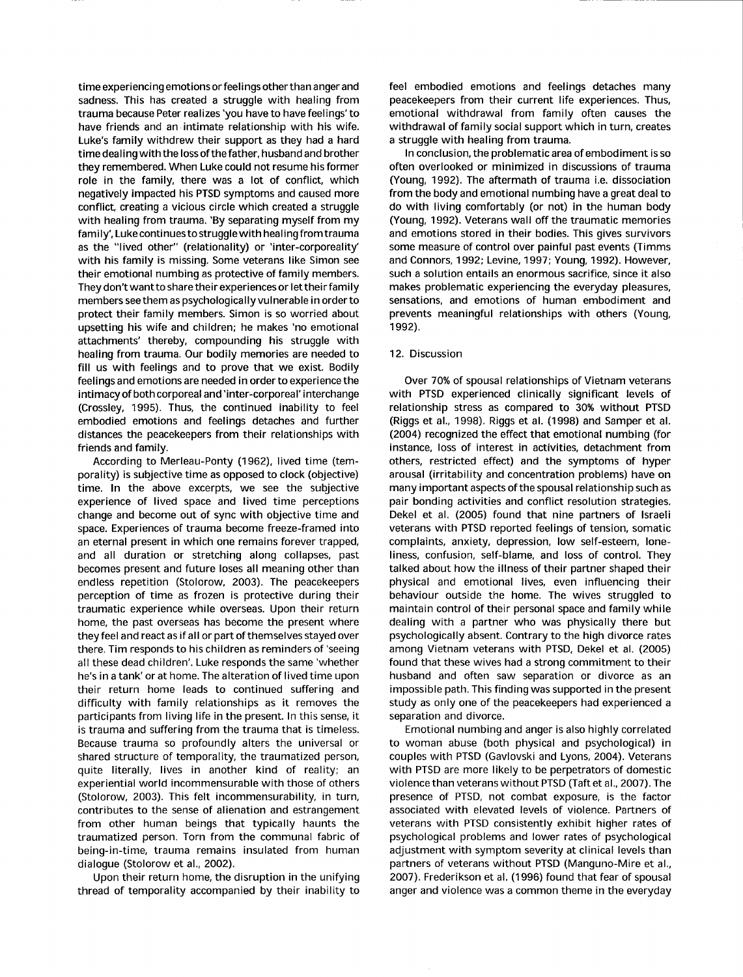time experiencing emotions or feelings other than anger and sadness. This has created a struggle with healing from trauma because Peter realizes'you have to have feelings'to have friends and an intimate relationship with his wife. Luke's family withdrew their support as they had a hard time dealing with the loss of thefather, husband and brother they remembered. When Luke could not resume his former role in the family, there was a lot of conflict, which negatively impacted his PTSD symptoms and caused more conflict, creating a vicious circle which created a struggle with healing from trauma. 'By separating myself from my family', Luke continues to struggle with healing from trauma as the "lived other" (relationality) or 'inter-corporeality' with his family is missing. Some veterans like Simon see their emotional numbing as protective of family members. They don't want to share their experiences or let their family members see them as psychologically vulnerable in orderto protect their family members. Simon is so worried about upsetting his wife and children; he makes 'no emotional attachments' thereby, compounding his struggle with healing from trauma. Our bodily memories are needed to fill us with feelings and to prove that we exist. Bodily feelings and emotions are needed in order to experience the intimacy of both corporeal and'inter-corporeal' interchange (Crossley, 1995). Thus, the continued inability to feel embodied emotions and feelings detaches and further distances the peacekeepers from their relationships with friends and family.

According to Merleau-Ponty (1962), lived time (temporality) is subjective time as opposed to clock (objective) time. In the above excerpts, we see the subjective experience of lived space and lived time perceptions change and become out of sync with objective time and space. Experiences of trauma become freeze-framed into an eternal present in which one remains forever trapped, and all duration or stretching along collapses, past becomes present and future loses all meaning other than endless repetition (Stolorow, 2003). The peacekeepers perception of time as frozen is protective during their traumatic experience while overseas. Upon their return home, the past overseas has become the present where they feel and react as if all or part of themselves stayed over there. Tim responds to his children as reminders of 'seeing all these dead children'. Luke responds the same'whether he's in a tank'or at home. The alteration of lived time upon their return home leads to continued suffering and difficulty with family relationships as it removes the participants from living life in the present. In this sense, it is trauma and suffering from the trauma that is timeless. Because trauma so profoundly alters the universal or shared structure of temporality, the traumatized person, quite literally, lives in another kind of reality; an experiential world incommensurable with those of others (Stolorow, 2003). This felt incommensurability, in turn, contributes to the sense of alienation and estrangement from other human beings that typically haunts the traumatized person. Torn from the communal fabric of being-in-time, trauma remains insulated from human dialogue (Stolorow et al., 2002).

Upon their return home, the disruption in the unifying thread of temporality accompanied by their inability to feel embodied emotions and feelings detaches many peacekeepers from their current life experiences. Thus, emotional withdrawal from family often causes the withdrawal of family social support which in turn, creates a struggle with healing from trauma.

In conclusion, the problematic area of embodiment is so often overlooked or minimized in discussions of trauma (Young, 1992). The aftermath of trauma i.e. dissociation from the body and emotional numbing have a great deal to do with living comfortably (or not) in the human body (Young, 1992). Veterans wall off the traumatic memories and emotions stored in their bodies. This gives survivors some measure of control over painful past events (Timms and Connors, 1992; Levine, 1997; Young, 1992). However, such a solution entails an enormous sacrifice, since it also makes problematic experiencing the everyday pleasures, sensations, and emotions of human embodiment and prevents meaningful relationships with others (Young. <sup>1</sup>992).

### 12. Discussion

Over 70% of spousal relationships of Vietnam veterans with PTSD experienced clinically significant levels of relationship stress as compared to 30% without PTSD (Riggs et al.. 1998). Riggs et al. (1998) and Samper et al. (2004) recognized the effect that emotional numbing (for instance. loss of interest in activities, detachment from others, restricted effect) and the symptoms of hyper arousal (irritability and concentration problems) have on many important aspects of the spousal relationship such as pair bonding activities and conflict resolution strategies. Dekel et al. (2005) found that nine partners of lsraeli veterans with PTSD reported feelings of tension, somatic complaints, anxiety, depression, low self-esteem. loneliness, confusion, self-blame, and loss of control. They talked about how the illness of their partner shaped their physical and emotional lives, even influencing their behaviour outside the home. The wives struggled to maintain control of their personal space and family while dealing with a partner who was physically there but psychologically absent. Contrary to the high divorce rates among Vietnam veterans with PTSD, Dekel et al. (2005) found that these wives had a strong commitment to their husband and often saw separation or divorce as an impossible path. This finding was supported in the present study as only one of the peacekeepers had experienced a separation and divorce.

Emotional numbing and anger is also highly correlated to woman abuse (both physical and psychological) in couples with PTSD (Gavlovski and Lyons, 2004). Veterans with PTSD are more likely to be perpetrators of domestic violence than veterans without PTSD (Taft et al., 2007). The presence of PTSD, not combat exposure, is the factor associated with elevated levels of violence. Partners of veterans with PTSD consistently exhibit higher rates of psychological problems and lower rates of psychological adjustment with symptom severity at clinical levels than partners of veterans without PTSD (Manguno-Mire et al., 2007). Frederikson et al. (1996) found that fear of spousal anger and violence was a common theme in the everyday